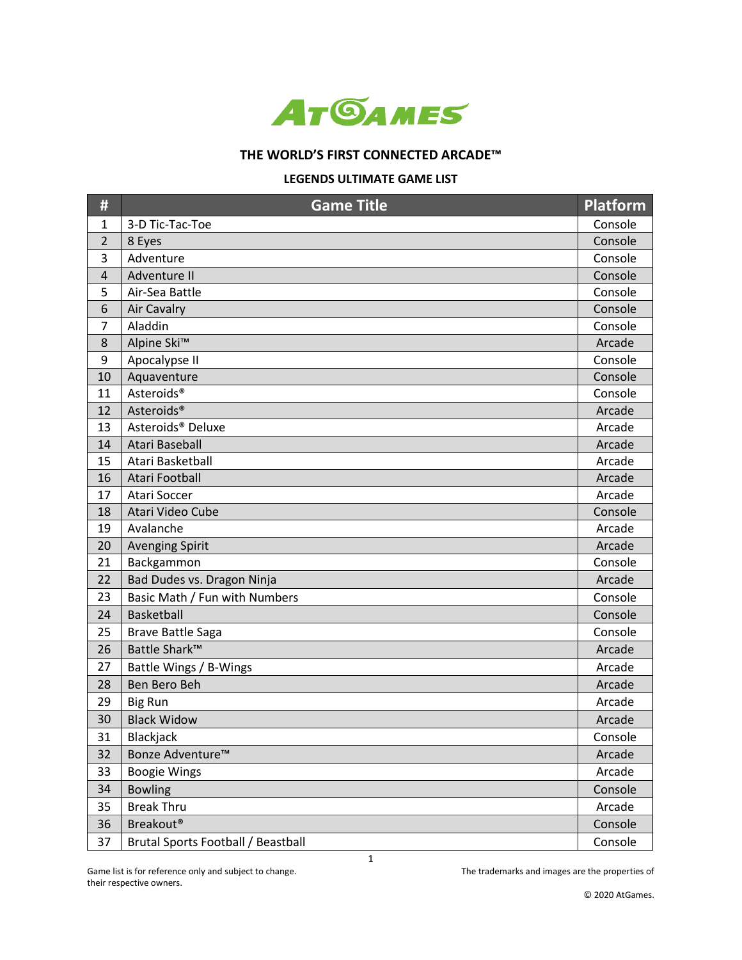

## **THE WORLD'S FIRST CONNECTED ARCADE™**

## **LEGENDS ULTIMATE GAME LIST**

| #              | <b>Game Title</b>                  | <b>Platform</b> |
|----------------|------------------------------------|-----------------|
| $\mathbf{1}$   | 3-D Tic-Tac-Toe                    | Console         |
| $\overline{2}$ | 8 Eyes                             | Console         |
| 3              | Adventure                          | Console         |
| $\overline{4}$ | Adventure II                       | Console         |
| 5              | Air-Sea Battle                     | Console         |
| 6              | <b>Air Cavalry</b>                 | Console         |
| $\overline{7}$ | Aladdin                            | Console         |
| $\bf 8$        | Alpine Ski <sup>™</sup>            | Arcade          |
| 9              | Apocalypse II                      | Console         |
| 10             | Aquaventure                        | Console         |
| 11             | Asteroids <sup>®</sup>             | Console         |
| 12             | Asteroids <sup>®</sup>             | Arcade          |
| 13             | Asteroids <sup>®</sup> Deluxe      | Arcade          |
| 14             | Atari Baseball                     | Arcade          |
| 15             | Atari Basketball                   | Arcade          |
| 16             | Atari Football                     | Arcade          |
| 17             | Atari Soccer                       | Arcade          |
| 18             | Atari Video Cube                   | Console         |
| 19             | Avalanche                          | Arcade          |
| 20             | <b>Avenging Spirit</b>             | Arcade          |
| 21             | Backgammon                         | Console         |
| 22             | Bad Dudes vs. Dragon Ninja         | Arcade          |
| 23             | Basic Math / Fun with Numbers      | Console         |
| 24             | Basketball                         | Console         |
| 25             | <b>Brave Battle Saga</b>           | Console         |
| 26             | Battle Shark™                      | Arcade          |
| 27             | Battle Wings / B-Wings             | Arcade          |
| 28             | Ben Bero Beh                       | Arcade          |
| 29             | <b>Big Run</b>                     | Arcade          |
| 30             | <b>Black Widow</b>                 | Arcade          |
| 31             | Blackjack                          | Console         |
| 32             | Bonze Adventure™                   | Arcade          |
| 33             | <b>Boogie Wings</b>                | Arcade          |
| 34             | <b>Bowling</b>                     | Console         |
| 35             | <b>Break Thru</b>                  | Arcade          |
| 36             | <b>Breakout®</b>                   | Console         |
| 37             | Brutal Sports Football / Beastball | Console         |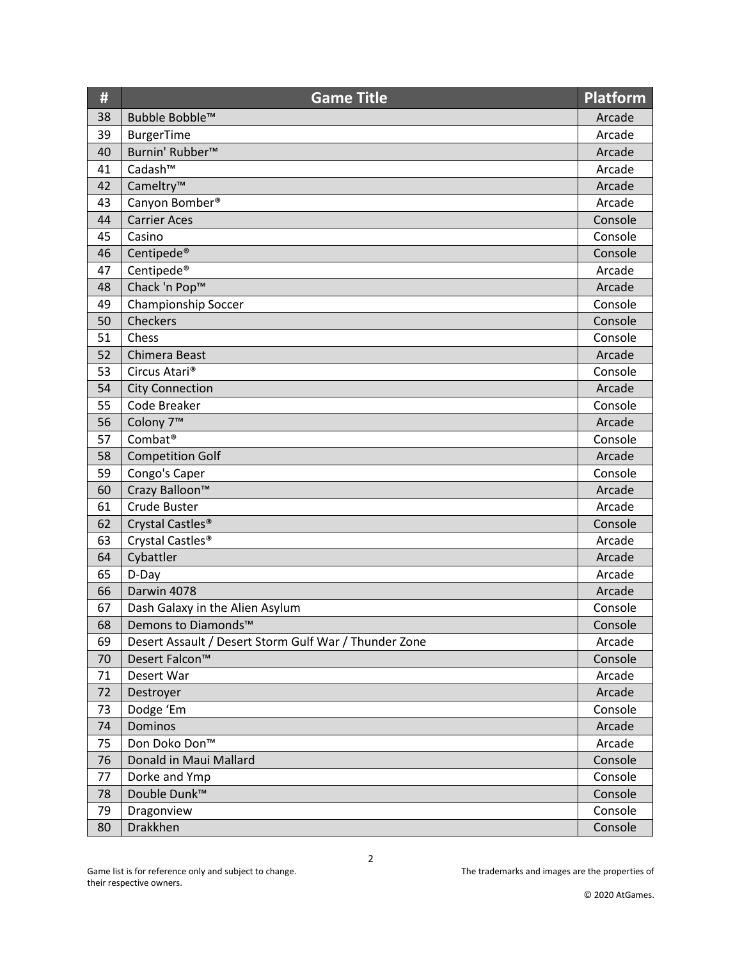| #  | <b>Game Title</b>                                     | <b>Platform</b> |
|----|-------------------------------------------------------|-----------------|
| 38 | Bubble Bobble™                                        | Arcade          |
| 39 | <b>BurgerTime</b>                                     | Arcade          |
| 40 | Burnin' Rubber <sup>™</sup>                           | Arcade          |
| 41 | Cadash™                                               | Arcade          |
| 42 | Cameltry™                                             | Arcade          |
| 43 | Canyon Bomber®                                        | Arcade          |
| 44 | <b>Carrier Aces</b>                                   | Console         |
| 45 | Casino                                                | Console         |
| 46 | Centipede <sup>®</sup>                                | Console         |
| 47 | Centipede <sup>®</sup>                                | Arcade          |
| 48 | Chack 'n Pop™                                         | Arcade          |
| 49 | Championship Soccer                                   | Console         |
| 50 | Checkers                                              | Console         |
| 51 | Chess                                                 | Console         |
| 52 | Chimera Beast                                         | Arcade          |
| 53 | Circus Atari <sup>®</sup>                             | Console         |
| 54 | <b>City Connection</b>                                | Arcade          |
| 55 | Code Breaker                                          | Console         |
| 56 | Colony 7 <sup>™</sup>                                 | Arcade          |
| 57 | Combat <sup>®</sup>                                   | Console         |
| 58 | <b>Competition Golf</b>                               | Arcade          |
| 59 | Congo's Caper                                         | Console         |
| 60 | Crazy Balloon™                                        | Arcade          |
| 61 | Crude Buster                                          | Arcade          |
| 62 | Crystal Castles <sup>®</sup>                          | Console         |
| 63 | Crystal Castles <sup>®</sup>                          | Arcade          |
| 64 | Cybattler                                             | Arcade          |
| 65 | D-Day                                                 | Arcade          |
| 66 | Darwin 4078                                           | Arcade          |
| 67 | Dash Galaxy in the Alien Asylum                       | Console         |
| 68 | Demons to Diamonds <sup>™</sup>                       | Console         |
| 69 | Desert Assault / Desert Storm Gulf War / Thunder Zone | Arcade          |
| 70 | Desert Falcon <sup>™</sup>                            | Console         |
| 71 | Desert War                                            | Arcade          |
| 72 | Destroyer                                             | Arcade          |
| 73 | Dodge 'Em                                             | Console         |
| 74 | Dominos                                               | Arcade          |
| 75 | Don Doko Don™                                         | Arcade          |
| 76 | Donald in Maui Mallard                                | Console         |
| 77 | Dorke and Ymp                                         | Console         |
| 78 | Double Dunk™                                          | Console         |
| 79 | Dragonview                                            | Console         |
| 80 | Drakkhen                                              | Console         |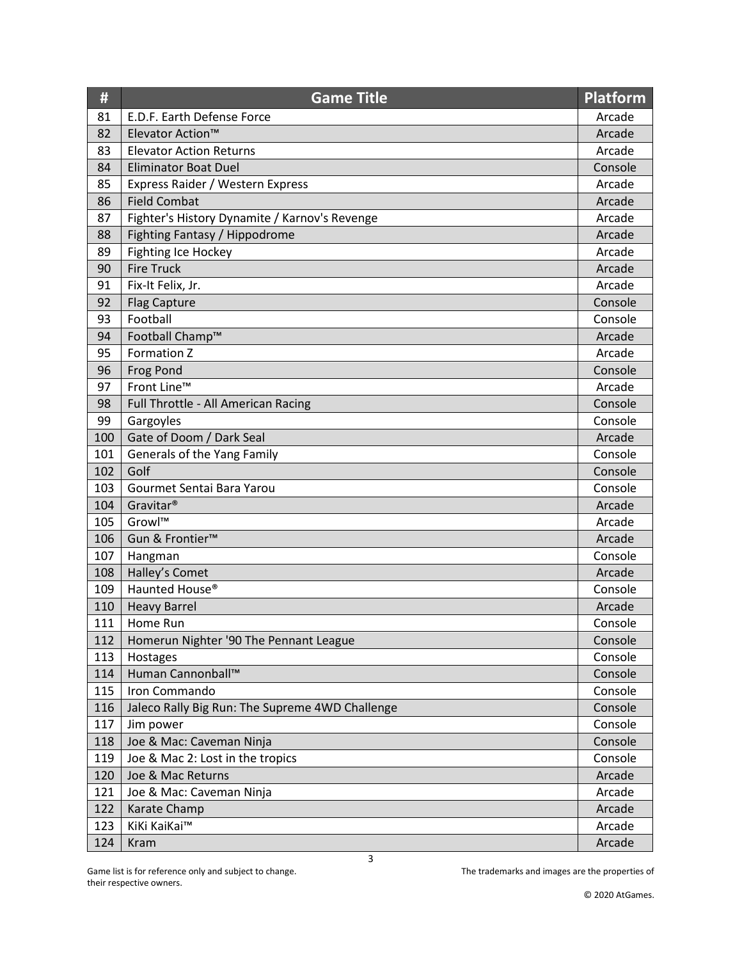| #   | <b>Game Title</b>                               | <b>Platform</b> |
|-----|-------------------------------------------------|-----------------|
| 81  | E.D.F. Earth Defense Force                      | Arcade          |
| 82  | Elevator Action <sup>™</sup>                    | Arcade          |
| 83  | <b>Elevator Action Returns</b>                  | Arcade          |
| 84  | <b>Eliminator Boat Duel</b>                     | Console         |
| 85  | Express Raider / Western Express                | Arcade          |
| 86  | <b>Field Combat</b>                             | Arcade          |
| 87  | Fighter's History Dynamite / Karnov's Revenge   | Arcade          |
| 88  | Fighting Fantasy / Hippodrome                   | Arcade          |
| 89  | Fighting Ice Hockey                             | Arcade          |
| 90  | <b>Fire Truck</b>                               | Arcade          |
| 91  | Fix-It Felix, Jr.                               | Arcade          |
| 92  | <b>Flag Capture</b>                             | Console         |
| 93  | Football                                        | Console         |
| 94  | Football Champ™                                 | Arcade          |
| 95  | <b>Formation Z</b>                              | Arcade          |
| 96  | Frog Pond                                       | Console         |
| 97  | Front Line™                                     | Arcade          |
| 98  | Full Throttle - All American Racing             | Console         |
| 99  | Gargoyles                                       | Console         |
| 100 | Gate of Doom / Dark Seal                        | Arcade          |
| 101 | Generals of the Yang Family                     | Console         |
| 102 | Golf                                            | Console         |
| 103 | Gourmet Sentai Bara Yarou                       | Console         |
| 104 | Gravitar <sup>®</sup>                           | Arcade          |
| 105 | Growl™                                          | Arcade          |
| 106 | Gun & Frontier <sup>™</sup>                     | Arcade          |
| 107 | Hangman                                         | Console         |
| 108 | Halley's Comet                                  | Arcade          |
| 109 | Haunted House <sup>®</sup>                      | Console         |
| 110 | <b>Heavy Barrel</b>                             | Arcade          |
| 111 | Home Run                                        | Console         |
| 112 | Homerun Nighter '90 The Pennant League          | Console         |
| 113 | Hostages                                        | Console         |
| 114 | Human Cannonball™                               | Console         |
| 115 | Iron Commando                                   | Console         |
| 116 | Jaleco Rally Big Run: The Supreme 4WD Challenge | Console         |
| 117 | Jim power                                       | Console         |
| 118 | Joe & Mac: Caveman Ninja                        | Console         |
| 119 | Joe & Mac 2: Lost in the tropics                | Console         |
| 120 | Joe & Mac Returns                               | Arcade          |
| 121 | Joe & Mac: Caveman Ninja                        | Arcade          |
| 122 | Karate Champ                                    | Arcade          |
| 123 | KiKi KaiKai™                                    | Arcade          |
| 124 | Kram                                            | Arcade          |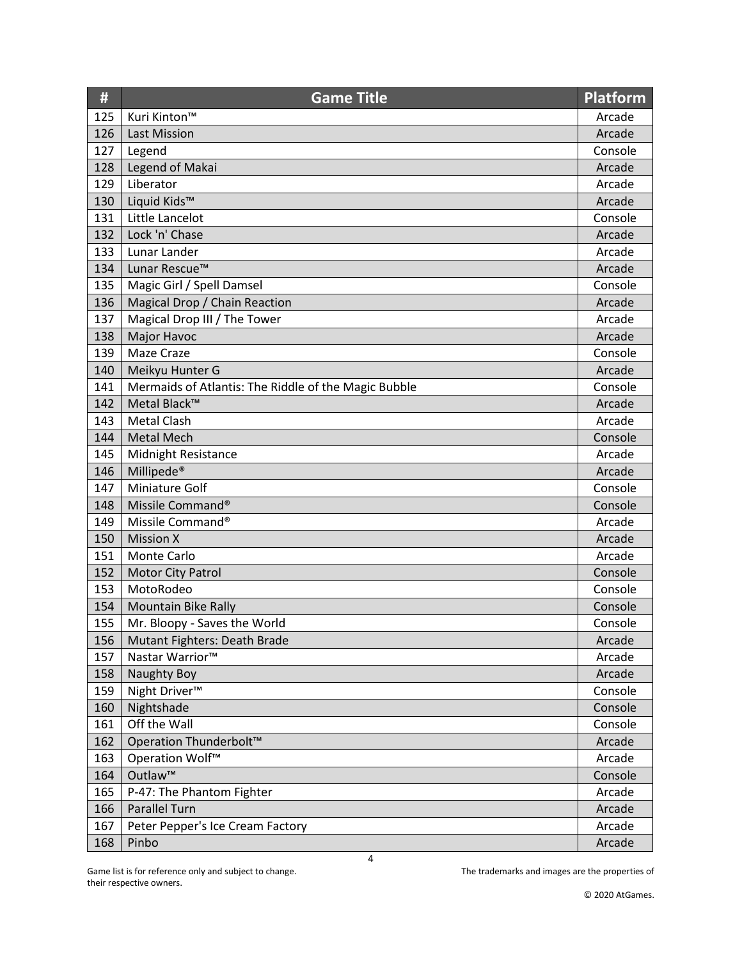| #   | <b>Game Title</b>                                    | <b>Platform</b> |
|-----|------------------------------------------------------|-----------------|
| 125 | Kuri Kinton™                                         | Arcade          |
| 126 | Last Mission                                         | Arcade          |
| 127 | Legend                                               | Console         |
| 128 | Legend of Makai                                      | Arcade          |
| 129 | Liberator                                            | Arcade          |
| 130 | Liquid Kids™                                         | Arcade          |
| 131 | Little Lancelot                                      | Console         |
| 132 | Lock 'n' Chase                                       | Arcade          |
| 133 | Lunar Lander                                         | Arcade          |
| 134 | Lunar Rescue <sup>™</sup>                            | Arcade          |
| 135 | Magic Girl / Spell Damsel                            | Console         |
| 136 | Magical Drop / Chain Reaction                        | Arcade          |
| 137 | Magical Drop III / The Tower                         | Arcade          |
| 138 | Major Havoc                                          | Arcade          |
| 139 | Maze Craze                                           | Console         |
| 140 | Meikyu Hunter G                                      | Arcade          |
| 141 | Mermaids of Atlantis: The Riddle of the Magic Bubble | Console         |
| 142 | Metal Black™                                         | Arcade          |
| 143 | <b>Metal Clash</b>                                   | Arcade          |
| 144 | <b>Metal Mech</b>                                    | Console         |
| 145 | <b>Midnight Resistance</b>                           | Arcade          |
| 146 | Millipede <sup>®</sup>                               | Arcade          |
| 147 | Miniature Golf                                       | Console         |
| 148 | Missile Command <sup>®</sup>                         | Console         |
| 149 | Missile Command <sup>®</sup>                         | Arcade          |
| 150 | <b>Mission X</b>                                     | Arcade          |
| 151 | Monte Carlo                                          | Arcade          |
| 152 | <b>Motor City Patrol</b>                             | Console         |
| 153 | MotoRodeo                                            | Console         |
| 154 | Mountain Bike Rally                                  | Console         |
| 155 | Mr. Bloopy - Saves the World                         | Console         |
| 156 | Mutant Fighters: Death Brade                         | Arcade          |
| 157 | Nastar Warrior <sup>™</sup>                          | Arcade          |
| 158 | <b>Naughty Boy</b>                                   | Arcade          |
| 159 | Night Driver <sup>™</sup>                            | Console         |
| 160 | Nightshade                                           | Console         |
| 161 | Off the Wall                                         | Console         |
| 162 | Operation Thunderbolt™                               | Arcade          |
| 163 | Operation Wolf™                                      | Arcade          |
| 164 | Outlaw™                                              | Console         |
| 165 | P-47: The Phantom Fighter                            | Arcade          |
| 166 | Parallel Turn                                        | Arcade          |
| 167 | Peter Pepper's Ice Cream Factory                     | Arcade          |
| 168 | Pinbo                                                | Arcade          |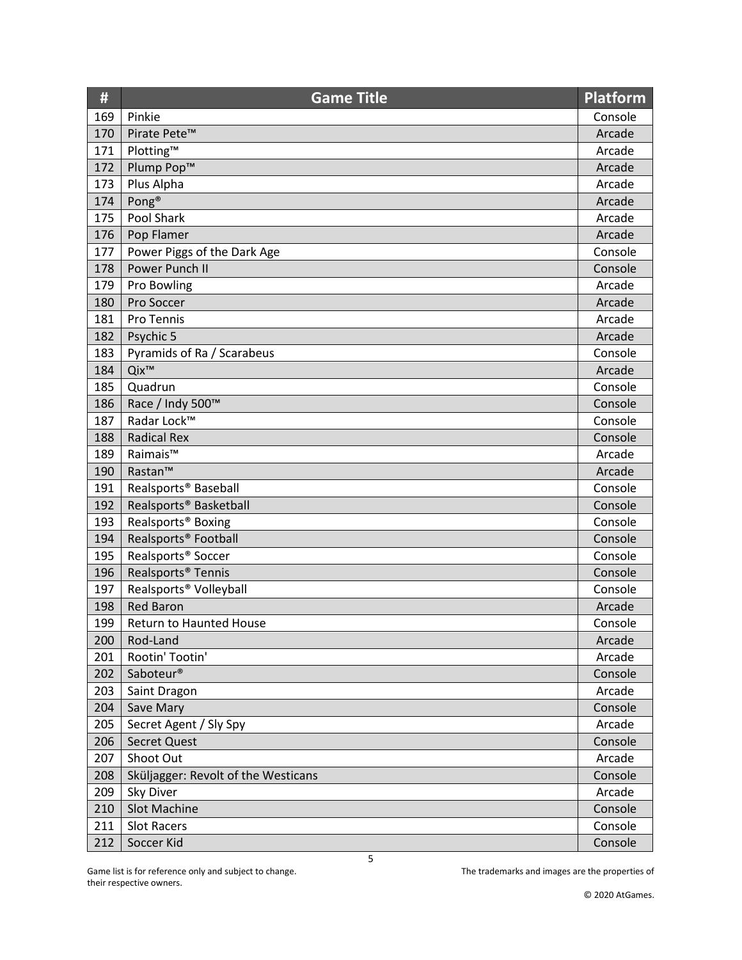| #   | <b>Game Title</b>                   | <b>Platform</b> |
|-----|-------------------------------------|-----------------|
| 169 | Pinkie                              | Console         |
| 170 | Pirate Pete <sup>™</sup>            | Arcade          |
| 171 | Plotting™                           | Arcade          |
| 172 | Plump Pop <sup>™</sup>              | Arcade          |
| 173 | Plus Alpha                          | Arcade          |
| 174 | Pong <sup>®</sup>                   | Arcade          |
| 175 | Pool Shark                          | Arcade          |
| 176 | Pop Flamer                          | Arcade          |
| 177 | Power Piggs of the Dark Age         | Console         |
| 178 | Power Punch II                      | Console         |
| 179 | Pro Bowling                         | Arcade          |
| 180 | Pro Soccer                          | Arcade          |
| 181 | Pro Tennis                          | Arcade          |
| 182 | Psychic 5                           | Arcade          |
| 183 | Pyramids of Ra / Scarabeus          | Console         |
| 184 | Qix™                                | Arcade          |
| 185 | Quadrun                             | Console         |
| 186 | Race / Indy 500™                    | Console         |
| 187 | Radar Lock™                         | Console         |
| 188 | <b>Radical Rex</b>                  | Console         |
| 189 | Raimais™                            | Arcade          |
| 190 | Rastan™                             | Arcade          |
| 191 | Realsports <sup>®</sup> Baseball    | Console         |
| 192 | Realsports <sup>®</sup> Basketball  | Console         |
| 193 | Realsports <sup>®</sup> Boxing      | Console         |
| 194 | Realsports <sup>®</sup> Football    | Console         |
| 195 | Realsports <sup>®</sup> Soccer      | Console         |
| 196 | Realsports <sup>®</sup> Tennis      | Console         |
| 197 | Realsports <sup>®</sup> Volleyball  | Console         |
| 198 | <b>Red Baron</b>                    | Arcade          |
| 199 | <b>Return to Haunted House</b>      | Console         |
| 200 | Rod-Land                            | Arcade          |
| 201 | Rootin' Tootin'                     | Arcade          |
| 202 | Saboteur®                           | Console         |
| 203 | Saint Dragon                        | Arcade          |
| 204 | Save Mary                           | Console         |
| 205 | Secret Agent / Sly Spy              | Arcade          |
| 206 | <b>Secret Quest</b>                 | Console         |
| 207 | Shoot Out                           | Arcade          |
| 208 | Sküljagger: Revolt of the Westicans | Console         |
| 209 | Sky Diver                           | Arcade          |
| 210 | Slot Machine                        | Console         |
| 211 | <b>Slot Racers</b>                  | Console         |
| 212 | Soccer Kid                          | Console         |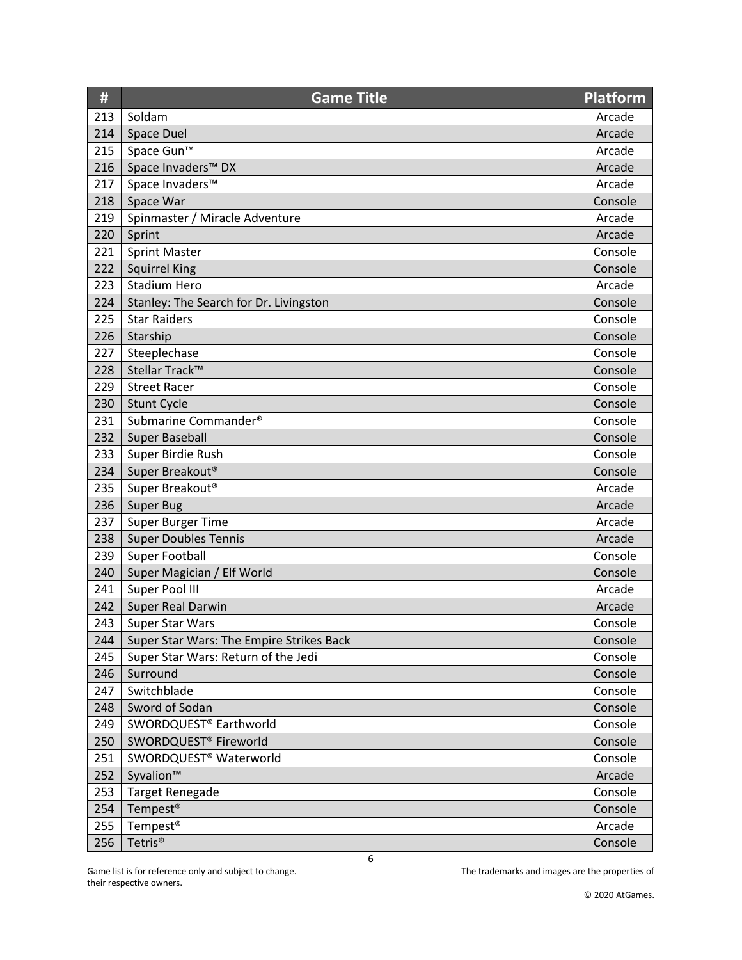| #   | <b>Game Title</b>                        | <b>Platform</b> |
|-----|------------------------------------------|-----------------|
| 213 | Soldam                                   | Arcade          |
| 214 | Space Duel                               | Arcade          |
| 215 | Space Gun <sup>™</sup>                   | Arcade          |
| 216 | Space Invaders™ DX                       | Arcade          |
| 217 | Space Invaders™                          | Arcade          |
| 218 | Space War                                | Console         |
| 219 | Spinmaster / Miracle Adventure           | Arcade          |
| 220 | Sprint                                   | Arcade          |
| 221 | <b>Sprint Master</b>                     | Console         |
| 222 | <b>Squirrel King</b>                     | Console         |
| 223 | <b>Stadium Hero</b>                      | Arcade          |
| 224 | Stanley: The Search for Dr. Livingston   | Console         |
| 225 | <b>Star Raiders</b>                      | Console         |
| 226 | Starship                                 | Console         |
| 227 | Steeplechase                             | Console         |
| 228 | Stellar Track™                           | Console         |
| 229 | <b>Street Racer</b>                      | Console         |
| 230 | <b>Stunt Cycle</b>                       | Console         |
| 231 | Submarine Commander <sup>®</sup>         | Console         |
| 232 | <b>Super Baseball</b>                    | Console         |
| 233 | Super Birdie Rush                        | Console         |
| 234 | Super Breakout <sup>®</sup>              | Console         |
| 235 | Super Breakout <sup>®</sup>              | Arcade          |
| 236 | <b>Super Bug</b>                         | Arcade          |
| 237 | Super Burger Time                        | Arcade          |
| 238 | <b>Super Doubles Tennis</b>              | Arcade          |
| 239 | <b>Super Football</b>                    | Console         |
| 240 | Super Magician / Elf World               | Console         |
| 241 | Super Pool III                           | Arcade          |
| 242 | Super Real Darwin                        | Arcade          |
| 243 | <b>Super Star Wars</b>                   | Console         |
| 244 | Super Star Wars: The Empire Strikes Back | Console         |
| 245 | Super Star Wars: Return of the Jedi      | Console         |
| 246 | Surround                                 | Console         |
| 247 | Switchblade                              | Console         |
| 248 | Sword of Sodan                           | Console         |
| 249 | SWORDQUEST® Earthworld                   | Console         |
| 250 | SWORDQUEST® Fireworld                    | Console         |
| 251 | SWORDQUEST <sup>®</sup> Waterworld       | Console         |
| 252 | Syvalion™                                | Arcade          |
| 253 | <b>Target Renegade</b>                   | Console         |
| 254 | Tempest <sup>®</sup>                     | Console         |
| 255 | Tempest <sup>®</sup>                     | Arcade          |
| 256 | Tetris <sup>®</sup>                      | Console         |